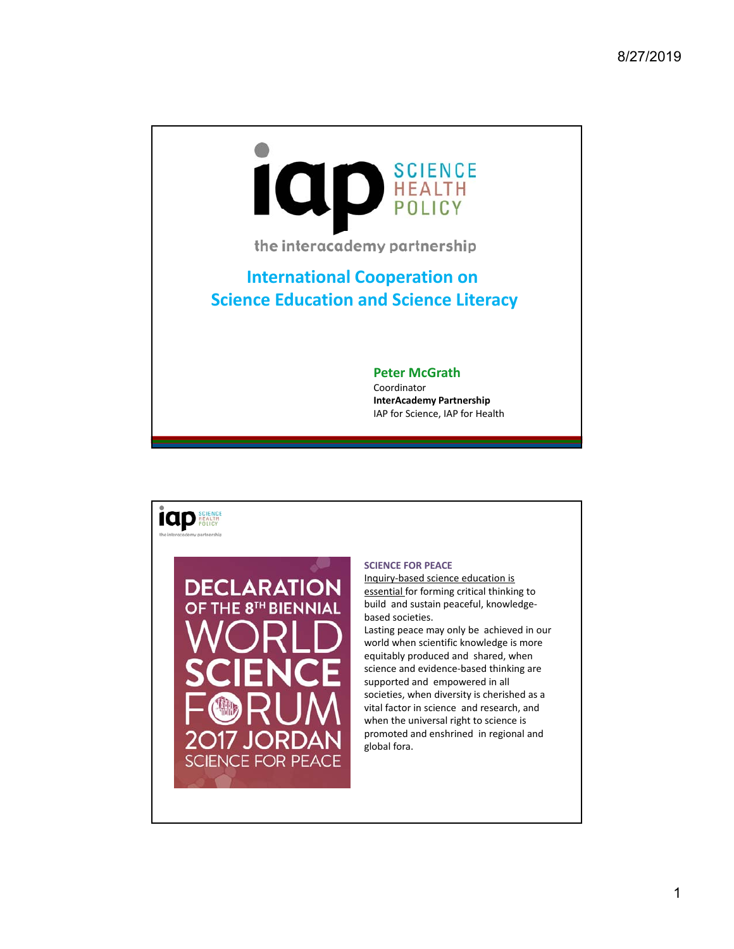

the interacademy partnership

## **International Cooperation on Science Education and Science Literacy**

## **Peter McGrath**

Coordinator **InterAcademy Partnership** IAP for Science, IAP for Health



## **SCIENCE FOR PEACE**

Inquiry‐based science education is essential for forming critical thinking to build and sustain peaceful, knowledge‐ based societies.

Lasting peace may only be achieved in our world when scientific knowledge is more equitably produced and shared, when science and evidence‐based thinking are supported and empowered in all societies, when diversity is cherished as a vital factor in science and research, and when the universal right to science is promoted and enshrined in regional and global fora.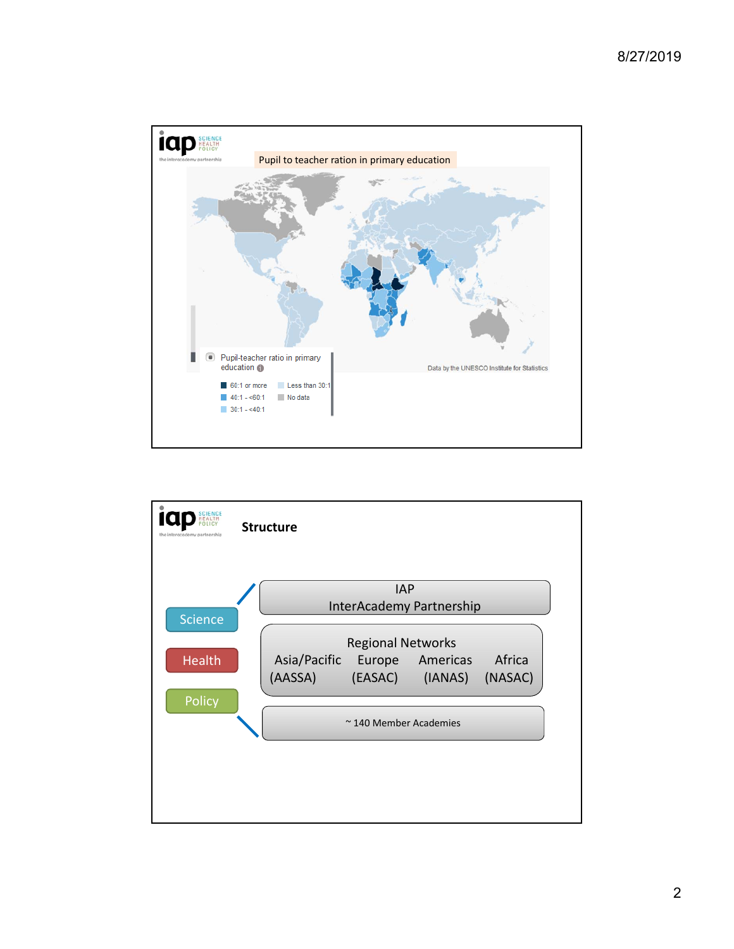

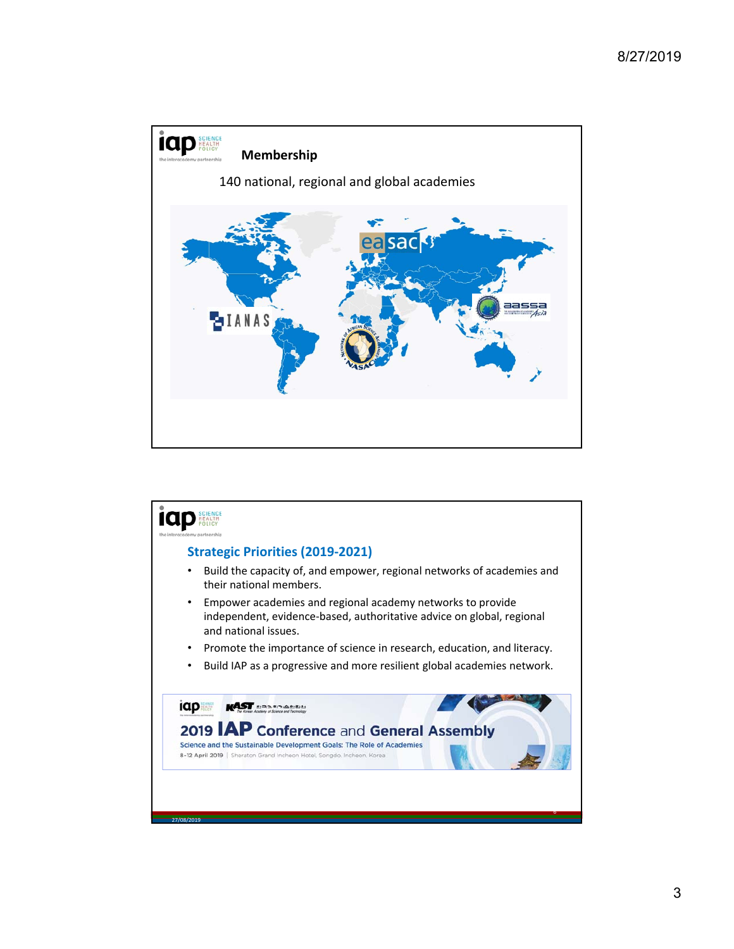

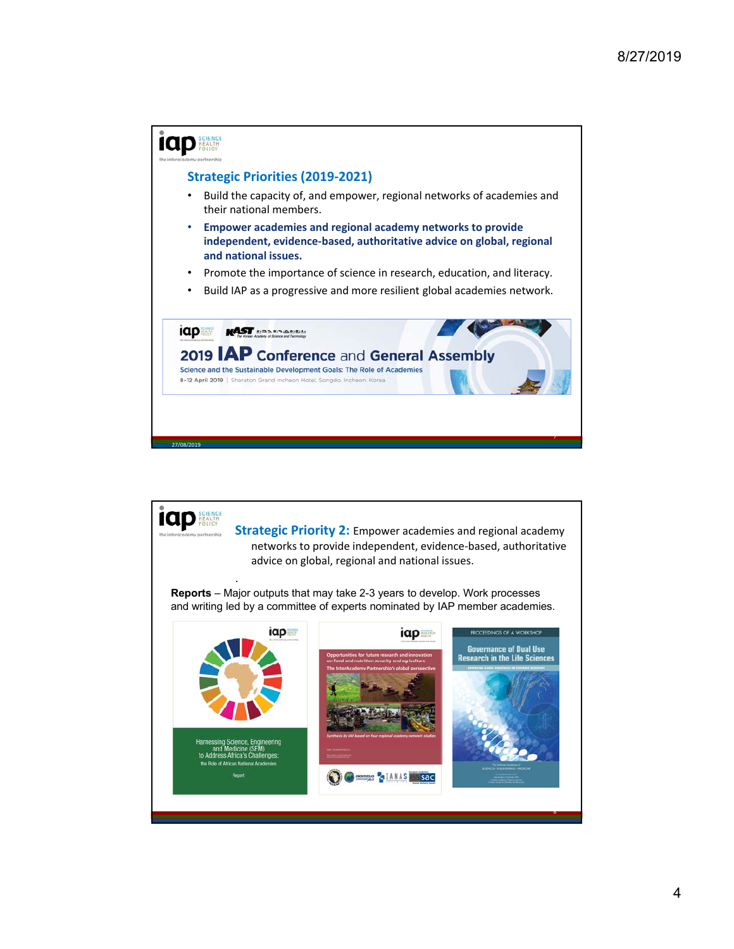

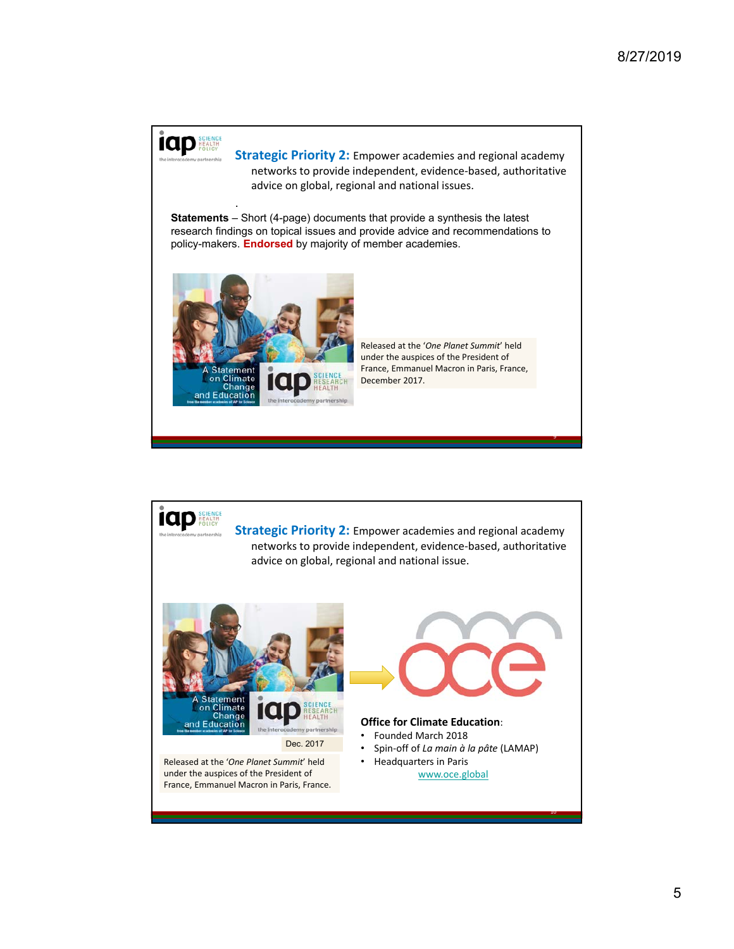

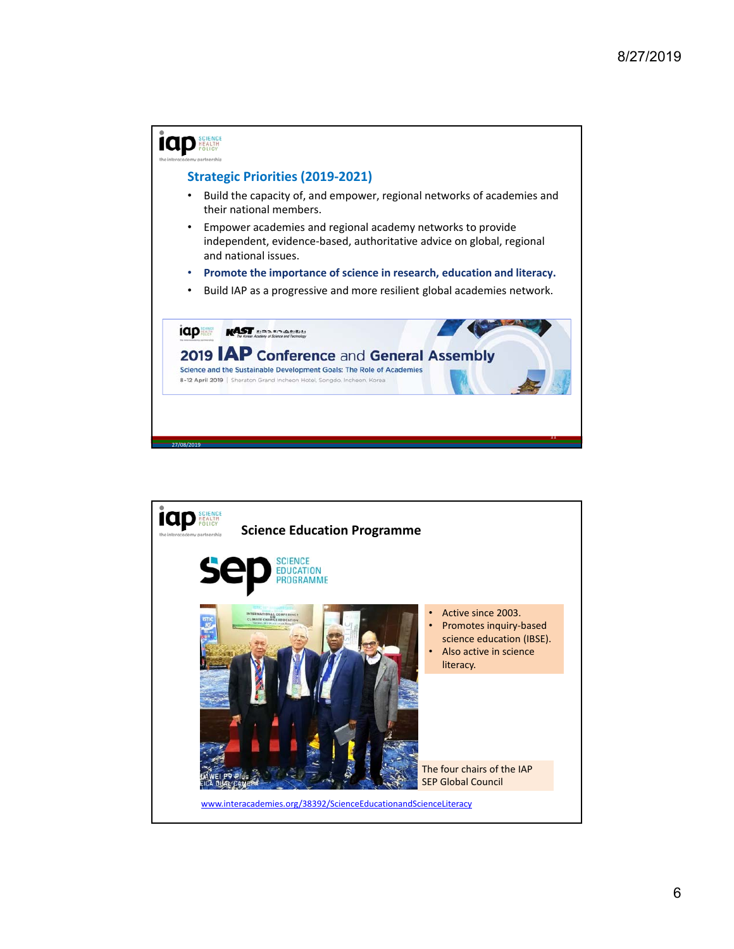

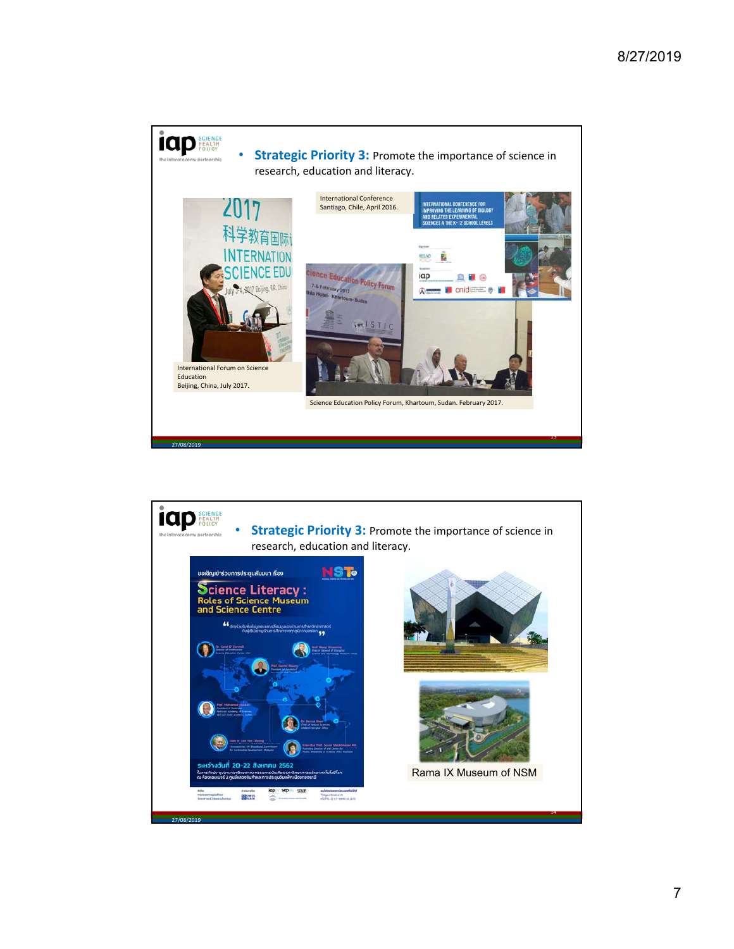

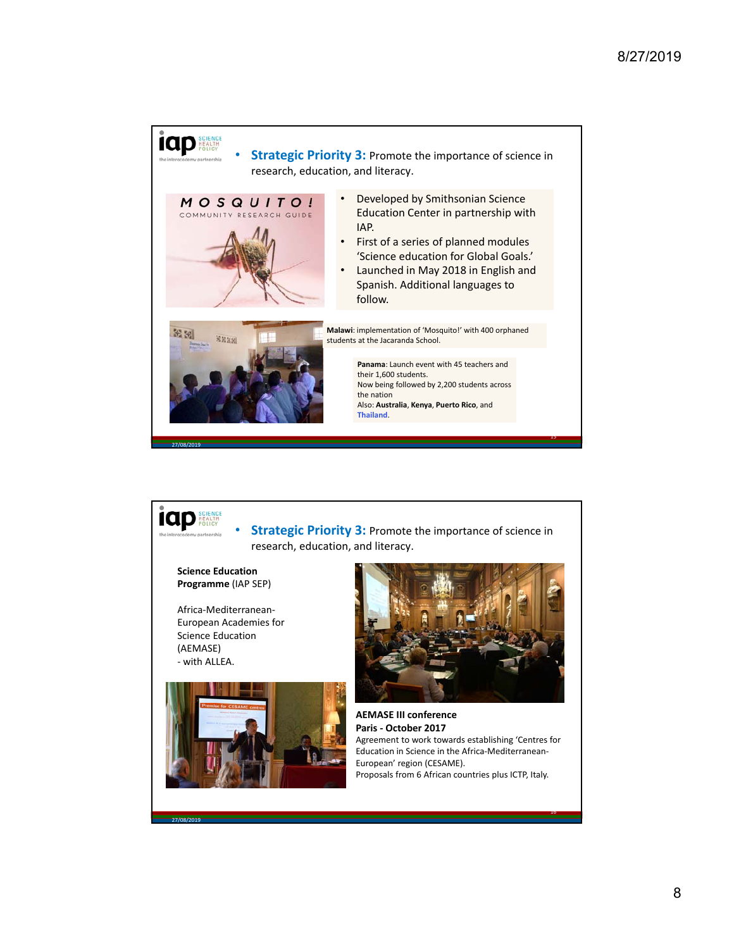

**Strategic Priority 3: Promote the importance of science in** research, education, and literacy.

**Science Education Programme** (IAP SEP)

**iap** 

Africa‐Mediterranean‐ European Academies for Science Education (AEMASE) ‐ with ALLEA.

27/08/2019





**AEMASE III conference Paris ‐ October 2017** Agreement to work towards establishing 'Centres for Education in Science in the Africa‐Mediterranean‐ European' region (CESAME). Proposals from 6 African countries plus ICTP, Italy.

16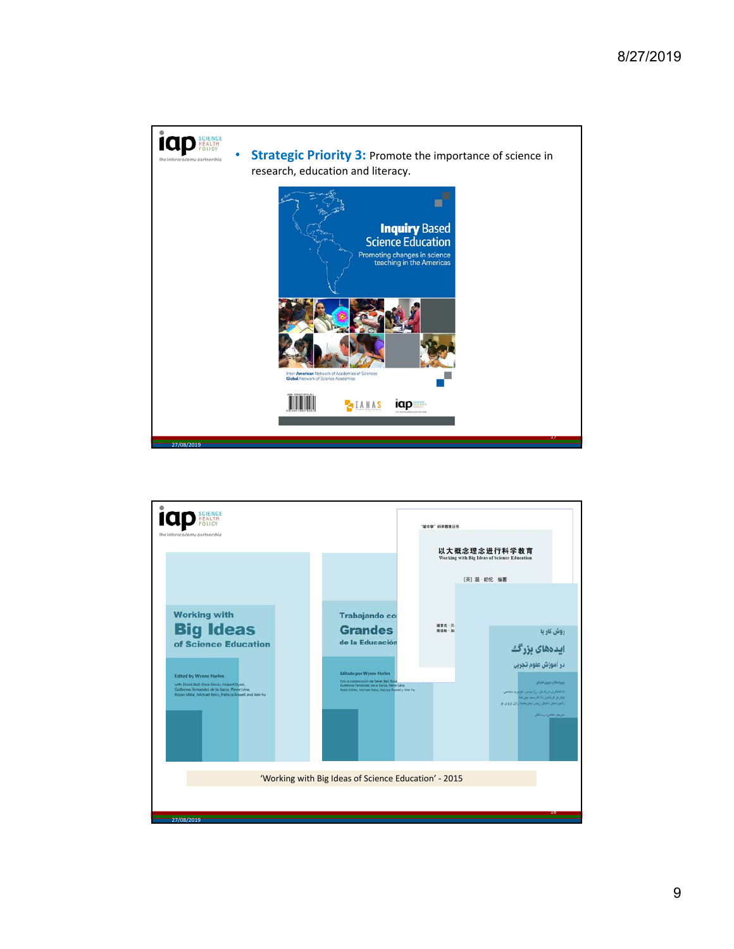

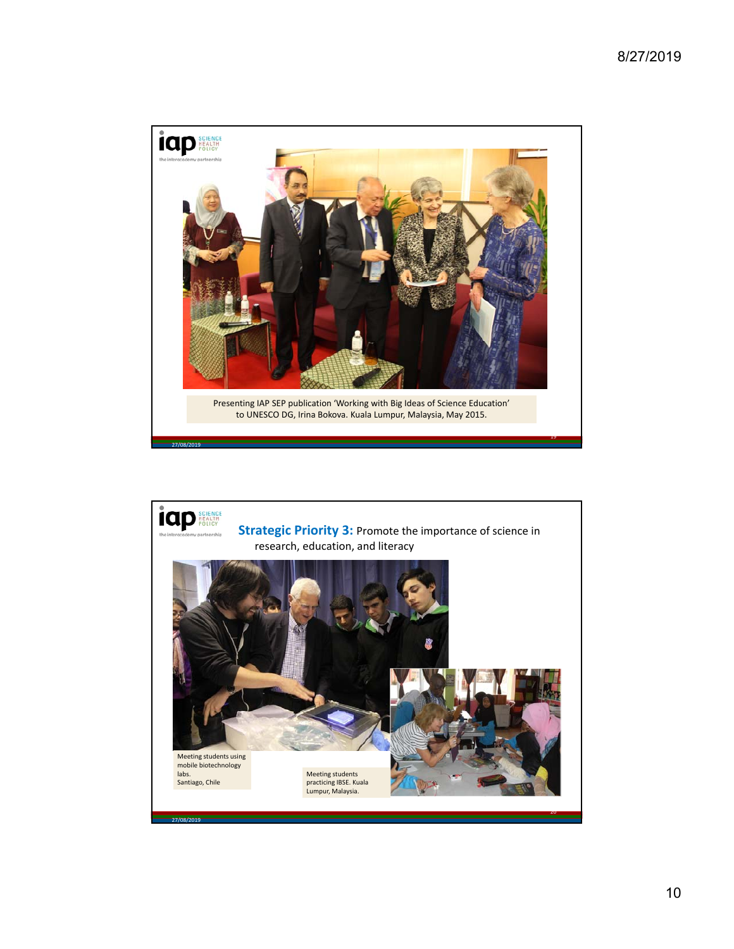